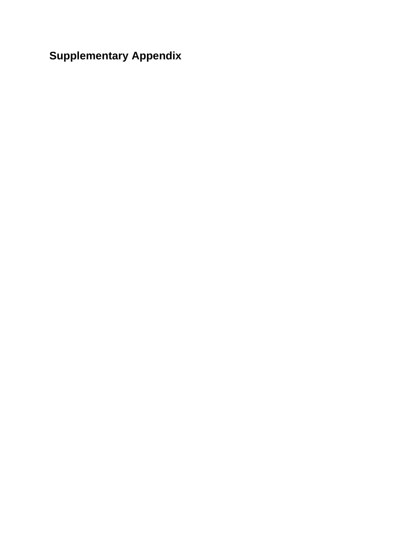**Supplementary Appendix**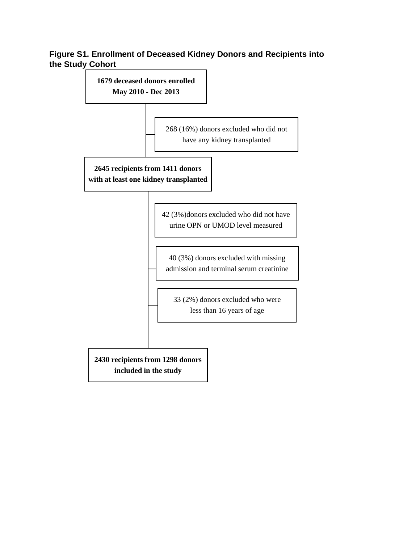#### **Figure S1. Enrollment of Deceased Kidney Donors and Recipients into the Study Cohort**

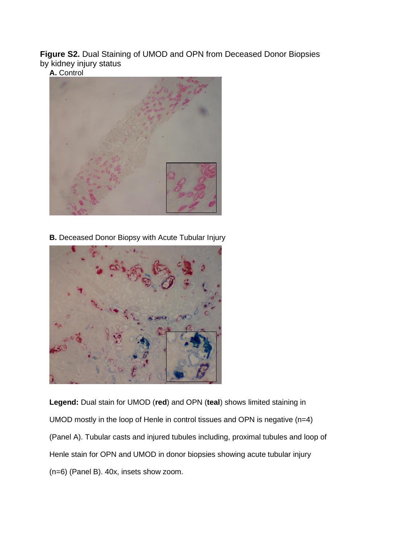**Figure S2.** Dual Staining of UMOD and OPN from Deceased Donor Biopsies by kidney injury status

**A.** Control



**B.** Deceased Donor Biopsy with Acute Tubular Injury



**Legend:** Dual stain for UMOD (**red**) and OPN (**teal**) shows limited staining in UMOD mostly in the loop of Henle in control tissues and OPN is negative (n=4) (Panel A). Tubular casts and injured tubules including, proximal tubules and loop of Henle stain for OPN and UMOD in donor biopsies showing acute tubular injury (n=6) (Panel B). 40x, insets show zoom.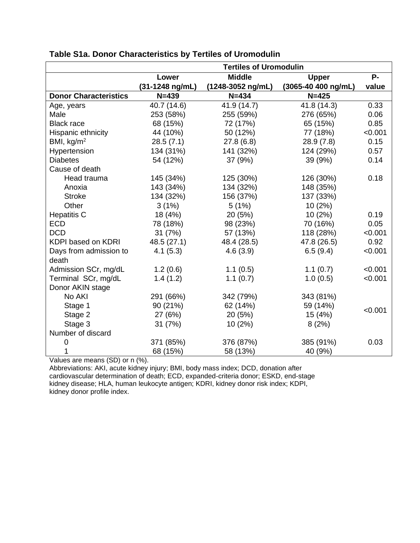|                              | <b>Tertiles of Uromodulin</b>        |               |                     |            |
|------------------------------|--------------------------------------|---------------|---------------------|------------|
|                              | Lower                                | <b>Middle</b> | <b>Upper</b>        | <b>P</b> - |
|                              | (31-1248 ng/mL)<br>(1248-3052 ng/mL) |               | (3065-40 400 ng/mL) | value      |
| <b>Donor Characteristics</b> | $N = 439$                            | $N = 434$     | $N = 425$           |            |
| Age, years                   | 40.7 (14.6)                          | 41.9 (14.7)   | 41.8 (14.3)         | 0.33       |
| Male                         | 253 (58%)                            | 255 (59%)     | 276 (65%)           | 0.06       |
| <b>Black race</b>            | 68 (15%)                             | 72 (17%)      | 65 (15%)            | 0.85       |
| Hispanic ethnicity           | 44 (10%)                             | 50 (12%)      | 77 (18%)            | < 0.001    |
| BMI, $kg/m2$                 | 28.5(7.1)                            | 27.8(6.8)     | 28.9(7.8)           | 0.15       |
| Hypertension                 | 134 (31%)                            | 141 (32%)     | 124 (29%)           | 0.57       |
| <b>Diabetes</b>              | 54 (12%)                             | 37 (9%)       | 39 (9%)             | 0.14       |
| Cause of death               |                                      |               |                     |            |
| Head trauma                  | 145 (34%)                            | 125 (30%)     | 126 (30%)           | 0.18       |
| Anoxia                       | 143 (34%)                            | 134 (32%)     | 148 (35%)           |            |
| <b>Stroke</b>                | 134 (32%)                            | 156 (37%)     | 137 (33%)           |            |
| Other                        | 3(1%)                                | 5(1%)         | 10(2%)              |            |
| <b>Hepatitis C</b>           | 18 (4%)                              | 20 (5%)       | 10(2%)              | 0.19       |
| <b>ECD</b>                   | 78 (18%)                             | 98 (23%)      | 70 (16%)            | 0.05       |
| <b>DCD</b>                   | 31(7%)                               | 57 (13%)      | 118 (28%)           | < 0.001    |
| KDPI based on KDRI           | 48.5 (27.1)                          | 48.4 (28.5)   | 47.8 (26.5)         | 0.92       |
| Days from admission to       | 4.1(5.3)                             | 4.6(3.9)      | 6.5(9.4)            | < 0.001    |
| death                        |                                      |               |                     |            |
| Admission SCr, mg/dL         | 1.2(0.6)                             | 1.1(0.5)      | 1.1(0.7)            | < 0.001    |
| Terminal SCr, mg/dL          | 1.4(1.2)                             | 1.1(0.7)      | 1.0(0.5)            | < 0.001    |
| Donor AKIN stage             |                                      |               |                     |            |
| No AKI                       | 291 (66%)                            | 342 (79%)     | 343 (81%)           |            |
| Stage 1                      | 90 (21%)                             | 62 (14%)      | 59 (14%)            | < 0.001    |
| Stage 2                      | 27 (6%)                              | 20 (5%)       | 15 (4%)             |            |
| Stage 3                      | 31 (7%)                              | 10(2%)        | 8(2%)               |            |
| Number of discard            |                                      |               |                     |            |
| $\overline{0}$               | 371 (85%)                            | 376 (87%)     | 385 (91%)           | 0.03       |
| 1                            | 68 (15%)                             | 58 (13%)      | 40 (9%)             |            |

### **Table S1a. Donor Characteristics by Tertiles of Uromodulin**

Values are means (SD) or n (%).

Abbreviations: AKI, acute kidney injury; BMI, body mass index; DCD, donation after cardiovascular determination of death; ECD, expanded-criteria donor; ESKD, end-stage kidney disease; HLA, human leukocyte antigen; KDRI, kidney donor risk index; KDPI, kidney donor profile index.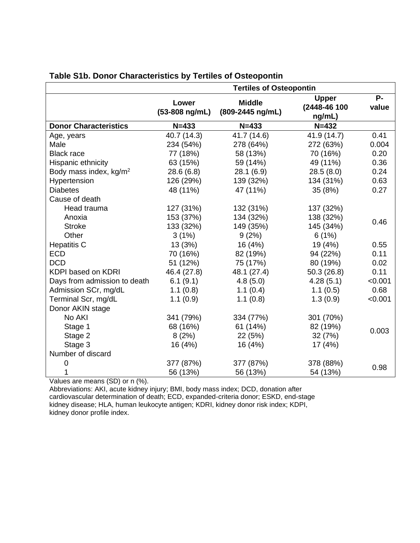|                                    | <b>Tertiles of Osteopontin</b> |                                   |                                        |                |
|------------------------------------|--------------------------------|-----------------------------------|----------------------------------------|----------------|
|                                    | Lower<br>(53-808 ng/mL)        | <b>Middle</b><br>(809-2445 ng/mL) | <b>Upper</b><br>(2448-46 100<br>ng/mL) | $P -$<br>value |
| <b>Donor Characteristics</b>       | $N = 433$                      | $N = 433$                         | $N = 432$                              |                |
| Age, years                         | 40.7 (14.3)                    | 41.7 (14.6)                       | 41.9 (14.7)                            | 0.41           |
| Male                               | 234 (54%)                      | 278 (64%)                         | 272 (63%)                              | 0.004          |
| <b>Black race</b>                  | 77 (18%)                       | 58 (13%)                          | 70 (16%)                               | 0.20           |
| Hispanic ethnicity                 | 63 (15%)                       | 59 (14%)                          | 49 (11%)                               | 0.36           |
| Body mass index, kg/m <sup>2</sup> | 28.6(6.8)                      | 28.1(6.9)                         | 28.5(8.0)                              | 0.24           |
| Hypertension                       | 126 (29%)                      | 139 (32%)                         | 134 (31%)                              | 0.63           |
| <b>Diabetes</b>                    | 48 (11%)                       | 47 (11%)                          | 35 (8%)                                | 0.27           |
| Cause of death                     |                                |                                   |                                        |                |
| Head trauma                        | 127 (31%)                      | 132 (31%)                         | 137 (32%)                              |                |
| Anoxia                             | 153 (37%)                      | 134 (32%)                         | 138 (32%)                              |                |
| <b>Stroke</b>                      | 133 (32%)                      | 149 (35%)                         | 145 (34%)                              | 0.46           |
| Other                              | 3(1%)                          | 9(2%)                             | 6(1%)                                  |                |
| <b>Hepatitis C</b>                 | 13 (3%)                        | 16 (4%)                           | 19 (4%)                                | 0.55           |
| <b>ECD</b>                         | 70 (16%)                       | 82 (19%)                          | 94 (22%)                               | 0.11           |
| <b>DCD</b>                         | 51 (12%)                       | 75 (17%)                          | 80 (19%)                               | 0.02           |
| <b>KDPI based on KDRI</b>          | 46.4 (27.8)                    | 48.1 (27.4)                       | 50.3(26.8)                             | 0.11           |
| Days from admission to death       | 6.1(9.1)                       | 4.8(5.0)                          | 4.28(5.1)                              | < 0.001        |
| Admission SCr, mg/dL               | 1.1(0.8)                       | 1.1(0.4)                          | 1.1(0.5)                               | 0.68           |
| Terminal Scr, mg/dL                | 1.1(0.9)                       | 1.1(0.8)                          | 1.3(0.9)                               | < 0.001        |
| Donor AKIN stage                   |                                |                                   |                                        |                |
| No AKI                             | 341 (79%)                      | 334 (77%)                         | 301 (70%)                              |                |
| Stage 1                            | 68 (16%)                       | 61 (14%)                          | 82 (19%)                               |                |
| Stage 2                            | 8(2%)                          | 22 (5%)                           | 32 (7%)                                | 0.003          |
| Stage 3                            | 16 (4%)                        | 16 (4%)                           | 17(4%)                                 |                |
| Number of discard                  |                                |                                   |                                        |                |
| 0                                  | 377 (87%)                      | 377 (87%)                         | 378 (88%)                              |                |
|                                    | 56 (13%)                       | 56 (13%)                          | 54 (13%)                               | 0.98           |

#### **Table S1b. Donor Characteristics by Tertiles of Osteopontin**

Values are means (SD) or n (%).

Abbreviations: AKI, acute kidney injury; BMI, body mass index; DCD, donation after cardiovascular determination of death; ECD, expanded-criteria donor; ESKD, end-stage kidney disease; HLA, human leukocyte antigen; KDRI, kidney donor risk index; KDPI, kidney donor profile index.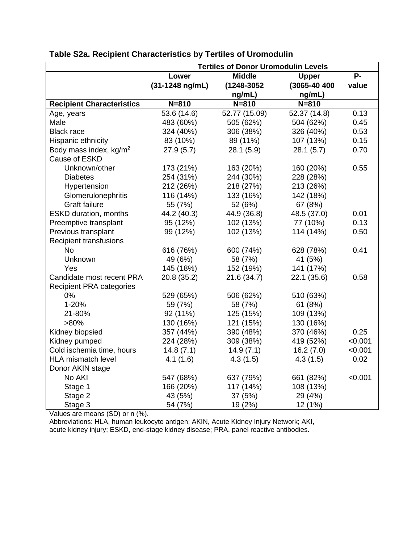|                                  | <b>Tertiles of Donor Uromodulin Levels</b> |               |              |           |
|----------------------------------|--------------------------------------------|---------------|--------------|-----------|
|                                  | Lower                                      | <b>Middle</b> | <b>Upper</b> | <b>P-</b> |
|                                  | (31-1248 ng/mL)                            | (1248-3052    | (3065-40 400 | value     |
|                                  |                                            | ng/mL)        | ng/mL)       |           |
| <b>Recipient Characteristics</b> | $N = 810$                                  | $N = 810$     | $N = 810$    |           |
| Age, years                       | 53.6 (14.6)                                | 52.77 (15.09) | 52.37 (14.8) | 0.13      |
| Male                             | 483 (60%)                                  | 505 (62%)     | 504 (62%)    | 0.45      |
| <b>Black race</b>                | 324 (40%)                                  | 306 (38%)     | 326 (40%)    | 0.53      |
| Hispanic ethnicity               | 83 (10%)                                   | 89 (11%)      | 107 (13%)    | 0.15      |
| Body mass index, $kg/m^2$        | 27.9(5.7)                                  | 28.1 (5.9)    | 28.1(5.7)    | 0.70      |
| Cause of ESKD                    |                                            |               |              |           |
| Unknown/other                    | 173 (21%)                                  | 163 (20%)     | 160 (20%)    | 0.55      |
| <b>Diabetes</b>                  | 254 (31%)                                  | 244 (30%)     | 228 (28%)    |           |
| Hypertension                     | 212 (26%)                                  | 218 (27%)     | 213 (26%)    |           |
| Glomerulonephritis               | 116 (14%)                                  | 133 (16%)     | 142 (18%)    |           |
| <b>Graft failure</b>             | 55 (7%)                                    | 52 (6%)       | 67 (8%)      |           |
| <b>ESKD duration, months</b>     | 44.2 (40.3)                                | 44.9 (36.8)   | 48.5 (37.0)  | 0.01      |
| Preemptive transplant            | 95 (12%)                                   | 102 (13%)     | 77 (10%)     | 0.13      |
| Previous transplant              | 99 (12%)                                   | 102 (13%)     | 114 (14%)    | 0.50      |
| <b>Recipient transfusions</b>    |                                            |               |              |           |
| <b>No</b>                        | 616 (76%)                                  | 600 (74%)     | 628 (78%)    | 0.41      |
| Unknown                          | 49 (6%)                                    | 58 (7%)       | 41 (5%)      |           |
| Yes                              | 145 (18%)                                  | 152 (19%)     | 141 (17%)    |           |
| Candidate most recent PRA        | 20.8 (35.2)                                | 21.6(34.7)    | 22.1(35.6)   | 0.58      |
| <b>Recipient PRA categories</b>  |                                            |               |              |           |
| 0%                               | 529 (65%)                                  | 506 (62%)     | 510 (63%)    |           |
| 1-20%                            | 59 (7%)                                    | 58 (7%)       | 61 (8%)      |           |
| 21-80%                           | 92 (11%)                                   | 125 (15%)     | 109 (13%)    |           |
| $>80\%$                          | 130 (16%)                                  | 121 (15%)     | 130 (16%)    |           |
| Kidney biopsied                  | 357 (44%)                                  | 390 (48%)     | 370 (46%)    | 0.25      |
| Kidney pumped                    | 224 (28%)                                  | 309 (38%)     | 419 (52%)    | < 0.001   |
| Cold ischemia time, hours        | 14.8(7.1)                                  | 14.9(7.1)     | 16.2(7.0)    | < 0.001   |
| HLA mismatch level               | 4.1(1.6)                                   | 4.3(1.5)      | 4.3(1.5)     | 0.02      |
| Donor AKIN stage                 |                                            |               |              |           |
| No AKI                           | 547 (68%)                                  | 637 (79%)     | 661 (82%)    | < 0.001   |
| Stage 1                          | 166 (20%)                                  | 117 (14%)     | 108 (13%)    |           |
| Stage 2                          | 43 (5%)                                    | 37 (5%)       | 29 (4%)      |           |
| Stage 3                          | 54 (7%)                                    | 19 (2%)       | 12 (1%)      |           |

### **Table S2a. Recipient Characteristics by Tertiles of Uromodulin**

Values are means (SD) or n (%).

Abbreviations: HLA, human leukocyte antigen; AKIN, Acute Kidney Injury Network; AKI, acute kidney injury; ESKD, end-stage kidney disease; PRA, panel reactive antibodies.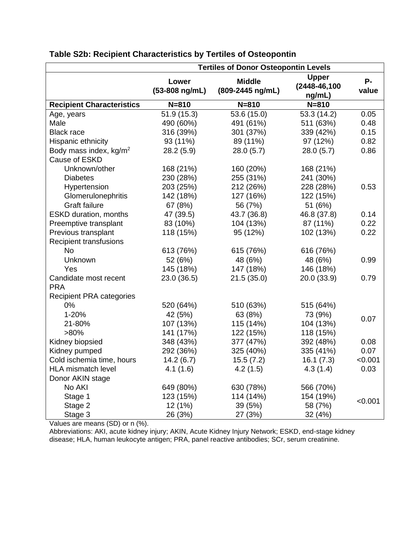|                                                     | <b>Tertiles of Donor Osteopontin Levels</b> |                                   |                                        |             |
|-----------------------------------------------------|---------------------------------------------|-----------------------------------|----------------------------------------|-------------|
|                                                     | Lower<br>(53-808 ng/mL)                     | <b>Middle</b><br>(809-2445 ng/mL) | <b>Upper</b><br>(2448-46,100<br>ng/mL) | P-<br>value |
| <b>Recipient Characteristics</b>                    | $N = 810$                                   | $N = 810$                         | $N = 810$                              |             |
| Age, years                                          | 51.9(15.3)                                  | 53.6 (15.0)                       | 53.3 (14.2)                            | 0.05        |
| Male                                                | 490 (60%)                                   | 491 (61%)                         | 511 (63%)                              | 0.48        |
| <b>Black race</b>                                   | 316 (39%)                                   | 301 (37%)                         | 339 (42%)                              | 0.15        |
| Hispanic ethnicity                                  | 93 (11%)                                    | 89 (11%)                          | 97 (12%)                               | 0.82        |
| Body mass index, kg/m <sup>2</sup><br>Cause of ESKD | 28.2(5.9)                                   | 28.0(5.7)                         | 28.0(5.7)                              | 0.86        |
| Unknown/other                                       | 168 (21%)                                   | 160 (20%)                         | 168 (21%)                              |             |
| <b>Diabetes</b>                                     | 230 (28%)                                   | 255 (31%)                         | 241 (30%)                              |             |
| Hypertension                                        | 203 (25%)                                   | 212 (26%)                         | 228 (28%)                              | 0.53        |
| Glomerulonephritis                                  | 142 (18%)                                   | 127 (16%)                         | 122 (15%)                              |             |
| Graft failure                                       | 67 (8%)                                     | 56 (7%)                           | 51 (6%)                                |             |
| <b>ESKD duration, months</b>                        | 47 (39.5)                                   | 43.7 (36.8)                       | 46.8 (37.8)                            | 0.14        |
| Preemptive transplant                               | 83 (10%)                                    | 104 (13%)                         | 87 (11%)                               | 0.22        |
| Previous transplant                                 | 118 (15%)                                   | 95 (12%)                          | 102 (13%)                              | 0.22        |
| <b>Recipient transfusions</b>                       |                                             |                                   |                                        |             |
| <b>No</b>                                           | 613 (76%)                                   | 615 (76%)                         | 616 (76%)                              |             |
| Unknown                                             | 52 (6%)                                     | 48 (6%)                           | 48 (6%)                                | 0.99        |
| Yes                                                 | 145 (18%)                                   | 147 (18%)                         | 146 (18%)                              |             |
| Candidate most recent                               | 23.0 (36.5)                                 | 21.5(35.0)                        | 20.0 (33.9)                            | 0.79        |
| <b>PRA</b>                                          |                                             |                                   |                                        |             |
| <b>Recipient PRA categories</b>                     |                                             |                                   |                                        |             |
| 0%                                                  | 520 (64%)                                   | 510 (63%)                         | 515 (64%)                              |             |
| 1-20%                                               | 42 (5%)                                     | 63 (8%)                           | 73 (9%)                                |             |
| 21-80%                                              | 107 (13%)                                   | 115 (14%)                         | 104 (13%)                              | 0.07        |
| $>80\%$                                             | 141 (17%)                                   | 122 (15%)                         | 118 (15%)                              |             |
| Kidney biopsied                                     | 348 (43%)                                   | 377 (47%)                         | 392 (48%)                              | 0.08        |
| Kidney pumped                                       | 292 (36%)                                   | 325 (40%)                         | 335 (41%)                              | 0.07        |
| Cold ischemia time, hours                           | 14.2(6.7)                                   | 15.5(7.2)                         | 16.1(7.3)                              | < 0.001     |
| HLA mismatch level                                  | 4.1(1.6)                                    | 4.2(1.5)                          | 4.3(1.4)                               | 0.03        |
| Donor AKIN stage                                    |                                             |                                   |                                        |             |
| No AKI                                              | 649 (80%)                                   | 630 (78%)                         | 566 (70%)                              |             |
| Stage 1                                             | 123 (15%)                                   | 114 (14%)                         | 154 (19%)                              |             |
| Stage 2                                             | 12 (1%)                                     | 39 (5%)                           | 58 (7%)                                | < 0.001     |
| Stage 3                                             | 26 (3%)                                     | 27 (3%)                           | 32 (4%)                                |             |

### **Table S2b: Recipient Characteristics by Tertiles of Osteopontin**

Values are means (SD) or n (%).

Abbreviations: AKI, acute kidney injury; AKIN, Acute Kidney Injury Network; ESKD, end-stage kidney disease; HLA, human leukocyte antigen; PRA, panel reactive antibodies; SCr, serum creatinine.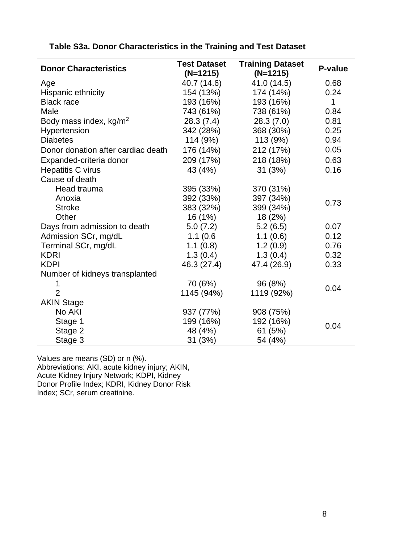| <b>Donor Characteristics</b>       | <b>Test Dataset</b> | <b>Training Dataset</b> | P-value      |  |
|------------------------------------|---------------------|-------------------------|--------------|--|
|                                    | $(N=1215)$          | $(N=1215)$              |              |  |
| Age                                | 40.7 (14.6)         | 41.0 (14.5)             | 0.68         |  |
| Hispanic ethnicity                 | 154 (13%)           | 174 (14%)               | 0.24         |  |
| <b>Black race</b>                  | 193 (16%)           | 193 (16%)               | $\mathbf{1}$ |  |
| Male                               | 743 (61%)           | 738 (61%)               | 0.84         |  |
| Body mass index, kg/m <sup>2</sup> | 28.3(7.4)           | 28.3(7.0)               | 0.81         |  |
| Hypertension                       | 342 (28%)           | 368 (30%)               | 0.25         |  |
| <b>Diabetes</b>                    | 114 (9%)            | 113 (9%)                | 0.94         |  |
| Donor donation after cardiac death | 176 (14%)           | 212 (17%)               | 0.05         |  |
| Expanded-criteria donor            | 209 (17%)           | 218 (18%)               | 0.63         |  |
| Hepatitis C virus                  | 43 (4%)             | 31(3%)                  | 0.16         |  |
| Cause of death                     |                     |                         |              |  |
| Head trauma                        | 395 (33%)           | 370 (31%)               |              |  |
| Anoxia                             | 392 (33%)           | 397 (34%)               |              |  |
| <b>Stroke</b>                      | 383 (32%)           | 399 (34%)               | 0.73         |  |
| Other                              | 16(1%)              | 18 (2%)                 |              |  |
| Days from admission to death       | 5.0(7.2)            | 5.2(6.5)                | 0.07         |  |
| Admission SCr, mg/dL               | 1.1(0.6)            | 1.1(0.6)                | 0.12         |  |
| Terminal SCr, mg/dL                | 1.1(0.8)            | 1.2(0.9)                | 0.76         |  |
| <b>KDRI</b>                        | 1.3(0.4)            | 1.3(0.4)                | 0.32         |  |
| <b>KDPI</b>                        | 46.3 (27.4)         | 47.4 (26.9)             | 0.33         |  |
| Number of kidneys transplanted     |                     |                         |              |  |
|                                    | 70 (6%)             | 96 (8%)                 | 0.04         |  |
| $\overline{2}$                     | 1145 (94%)          | 1119 (92%)              |              |  |
| <b>AKIN Stage</b>                  |                     |                         |              |  |
| No AKI                             | 937 (77%)           | 908 (75%)               |              |  |
| Stage 1                            | 199 (16%)           | 192 (16%)               | 0.04         |  |
| Stage 2                            | 48 (4%)             | 61 (5%)                 |              |  |
| Stage 3                            | 31(3%)              | 54 (4%)                 |              |  |

### **Table S3a. Donor Characteristics in the Training and Test Dataset**

Values are means (SD) or n (%). Abbreviations: AKI, acute kidney injury; AKIN, Acute Kidney Injury Network; KDPI, Kidney

Donor Profile Index; KDRI, Kidney Donor Risk Index; SCr, serum creatinine.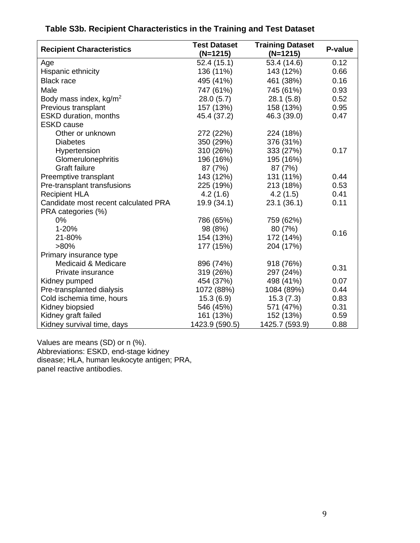| <b>Recipient Characteristics</b>     | <b>Test Dataset</b> | <b>Training Dataset</b> | P-value |
|--------------------------------------|---------------------|-------------------------|---------|
|                                      | $(N=1215)$          | $(N=1215)$              |         |
| Age                                  | 52.4(15.1)          | 53.4 (14.6)             | 0.12    |
| Hispanic ethnicity                   | 136 (11%)           | 143 (12%)               | 0.66    |
| <b>Black race</b>                    | 495 (41%)           | 461 (38%)               | 0.16    |
| Male                                 | 747 (61%)           | 745 (61%)               | 0.93    |
| Body mass index, kg/m <sup>2</sup>   | 28.0(5.7)           | 28.1(5.8)               | 0.52    |
| Previous transplant                  | 157 (13%)           | 158 (13%)               | 0.95    |
| <b>ESKD</b> duration, months         | 45.4 (37.2)         | 46.3 (39.0)             | 0.47    |
| <b>ESKD</b> cause                    |                     |                         |         |
| Other or unknown                     | 272 (22%)           | 224 (18%)               |         |
| <b>Diabetes</b>                      | 350 (29%)           | 376 (31%)               |         |
| Hypertension                         | 310 (26%)           | 333 (27%)               | 0.17    |
| Glomerulonephritis                   | 196 (16%)           | 195 (16%)               |         |
| <b>Graft failure</b>                 | 87 (7%)             | 87 (7%)                 |         |
| Preemptive transplant                | 143 (12%)           | 131 (11%)               | 0.44    |
| Pre-transplant transfusions          | 225 (19%)           | 213 (18%)               | 0.53    |
| <b>Recipient HLA</b>                 | 4.2(1.6)            | 4.2(1.5)                | 0.41    |
| Candidate most recent calculated PRA | 19.9 (34.1)         | 23.1(36.1)              | 0.11    |
| PRA categories (%)                   |                     |                         |         |
| 0%                                   | 786 (65%)           | 759 (62%)               |         |
| 1-20%                                | 98 (8%)             | 80 (7%)                 |         |
| 21-80%                               | 154 (13%)           | 172 (14%)               | 0.16    |
| $>80\%$                              | 177 (15%)           | 204 (17%)               |         |
| Primary insurance type               |                     |                         |         |
| Medicaid & Medicare                  | 896 (74%)           | 918 (76%)               |         |
| Private insurance                    | 319 (26%)           | 297 (24%)               | 0.31    |
| Kidney pumped                        | 454 (37%)           | 498 (41%)               | 0.07    |
| Pre-transplanted dialysis            | 1072 (88%)          | 1084 (89%)              | 0.44    |
| Cold ischemia time, hours            | 15.3(6.9)           | 15.3(7.3)               | 0.83    |
| Kidney biopsied                      | 546 (45%)           | 571 (47%)               | 0.31    |
| Kidney graft failed                  | 161 (13%)           | 152 (13%)               | 0.59    |
| Kidney survival time, days           | 1423.9 (590.5)      | 1425.7 (593.9)          | 0.88    |

# **Table S3b. Table S3b. Recipient Characteristics in the Training and Test Dataset**

Values are means (SD) or n (%). Abbreviations: ESKD, end-stage kidney disease; HLA, human leukocyte antigen; PRA, panel reactive antibodies.